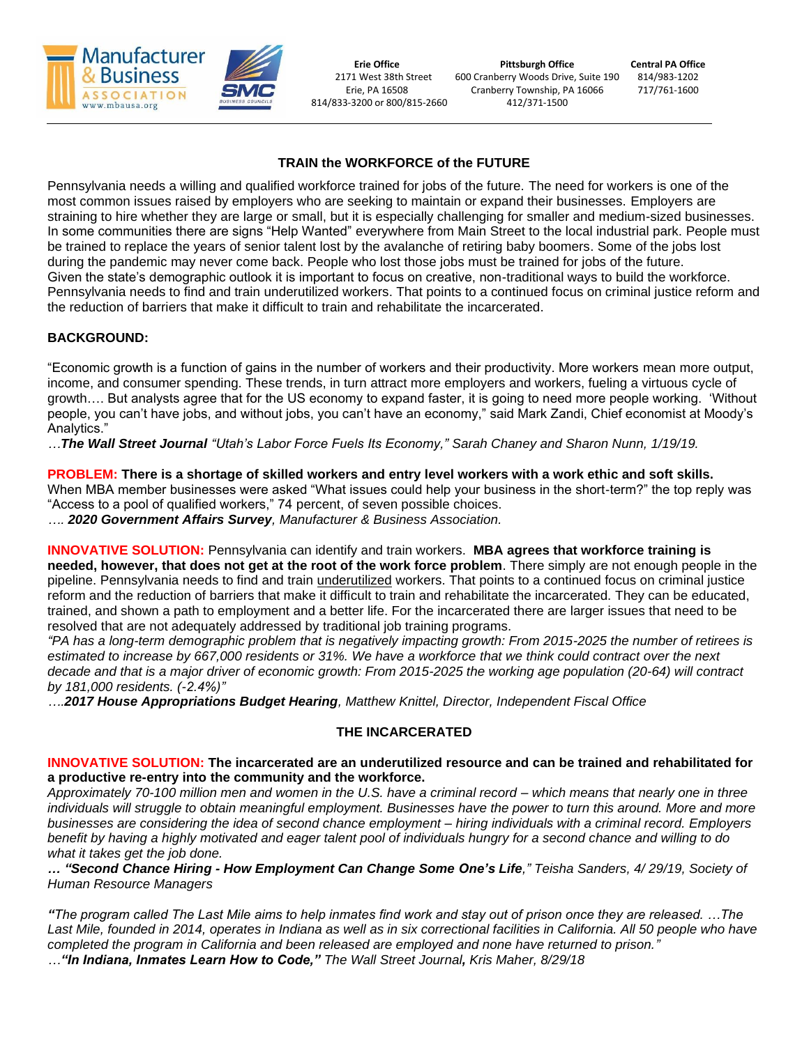

**Erie Office Pittsburgh Office Central PA Office** 2171 West 38th Street 600 Cranberry Woods Drive, Suite 190 814/983-1202 Erie, PA 16508 Cranberry Township, PA 16066 717/761-1600 814/833-3200 or 800/815-2660 412/371-1500

# **TRAIN the WORKFORCE of the FUTURE**

Pennsylvania needs a willing and qualified workforce trained for jobs of the future. The need for workers is one of the most common issues raised by employers who are seeking to maintain or expand their businesses. Employers are straining to hire whether they are large or small, but it is especially challenging for smaller and medium-sized businesses. In some communities there are signs "Help Wanted" everywhere from Main Street to the local industrial park. People must be trained to replace the years of senior talent lost by the avalanche of retiring baby boomers. Some of the jobs lost during the pandemic may never come back. People who lost those jobs must be trained for jobs of the future. Given the state's demographic outlook it is important to focus on creative, non-traditional ways to build the workforce. Pennsylvania needs to find and train underutilized workers. That points to a continued focus on criminal justice reform and the reduction of barriers that make it difficult to train and rehabilitate the incarcerated.

# **BACKGROUND:**

"Economic growth is a function of gains in the number of workers and their productivity. More workers mean more output, income, and consumer spending. These trends, in turn attract more employers and workers, fueling a virtuous cycle of growth…. But analysts agree that for the US economy to expand faster, it is going to need more people working. 'Without people, you can't have jobs, and without jobs, you can't have an economy," said Mark Zandi, Chief economist at Moody's Analytics."

*…The Wall Street Journal "Utah's Labor Force Fuels Its Economy," Sarah Chaney and Sharon Nunn, 1/19/19.* 

**PROBLEM: There is a shortage of skilled workers and entry level workers with a work ethic and soft skills.** 

When MBA member businesses were asked "What issues could help your business in the short-term?" the top reply was "Access to a pool of qualified workers," 74 percent, of seven possible choices.

*…. 2020 Government Affairs Survey, Manufacturer & Business Association.*

**INNOVATIVE SOLUTION:** Pennsylvania can identify and train workers. **MBA agrees that workforce training is needed, however, that does not get at the root of the work force problem**. There simply are not enough people in the pipeline. Pennsylvania needs to find and train underutilized workers. That points to a continued focus on criminal justice reform and the reduction of barriers that make it difficult to train and rehabilitate the incarcerated. They can be educated, trained, and shown a path to employment and a better life. For the incarcerated there are larger issues that need to be resolved that are not adequately addressed by traditional job training programs.

*"PA has a long-term demographic problem that is negatively impacting growth: From 2015-2025 the number of retirees is estimated to increase by 667,000 residents or 31%. We have a workforce that we think could contract over the next decade and that is a major driver of economic growth: From 2015-2025 the working age population (20-64) will contract by 181,000 residents. (-2.4%)"*

*….2017 House Appropriations Budget Hearing, Matthew Knittel, Director, Independent Fiscal Office*

### **THE INCARCERATED**

### **INNOVATIVE SOLUTION: The incarcerated are an underutilized resource and can be trained and rehabilitated for a productive re-entry into the community and the workforce.**

*Approximately 70-100 million men and women in the U.S. have a criminal record – which means that nearly one in three individuals will struggle to obtain meaningful employment. Businesses have the power to turn this around. More and more businesses are considering the idea of second chance employment – hiring individuals with a criminal record. Employers benefit by having a highly motivated and eager talent pool of individuals hungry for a second chance and willing to do what it takes get the job done.*

*… "Second Chance Hiring - How Employment Can Change Some One's Life," Teisha Sanders, 4/ 29/19, Society of Human Resource Managers*

*"The program called The Last Mile aims to help inmates find work and stay out of prison once they are released. …The*  Last Mile, founded in 2014, operates in Indiana as well as in six correctional facilities in California. All 50 people who have *completed the program in California and been released are employed and none have returned to prison." …"In Indiana, Inmates Learn How to Code," The Wall Street Journal, Kris Maher, 8/29/18*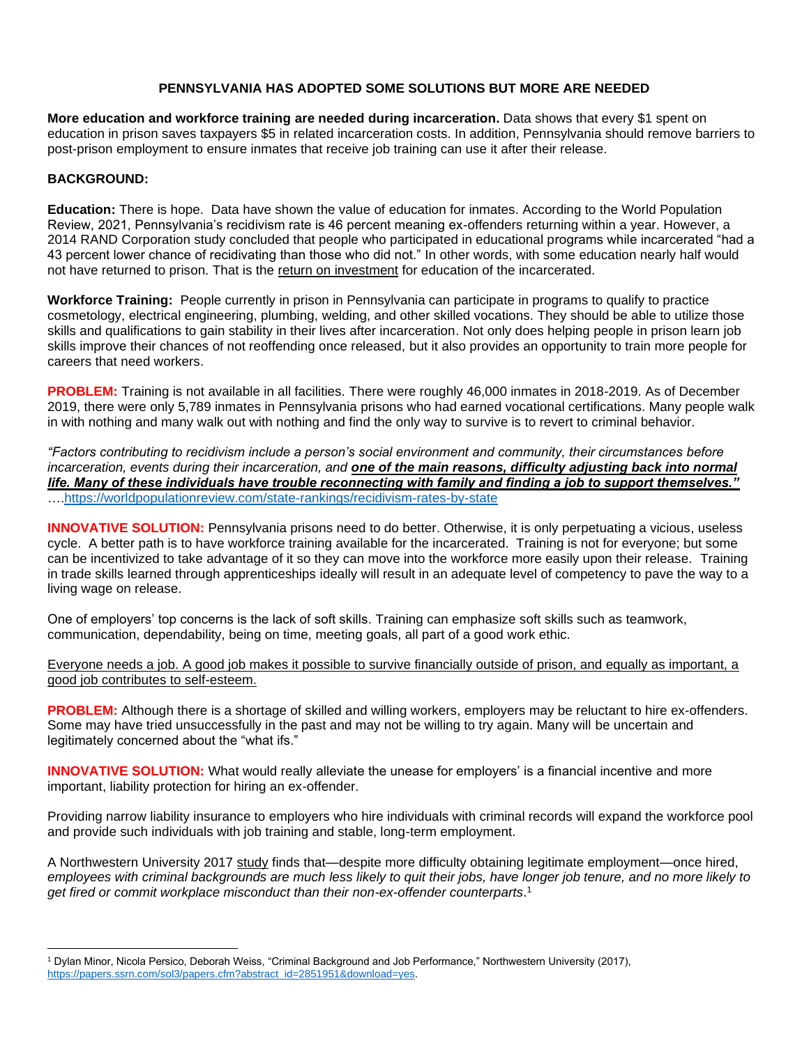## **PENNSYLVANIA HAS ADOPTED SOME SOLUTIONS BUT MORE ARE NEEDED**

**More education and workforce training are needed during incarceration.** Data shows that every \$1 spent on education in prison saves taxpayers \$5 in related incarceration costs. In addition, Pennsylvania should remove barriers to post-prison employment to ensure inmates that receive job training can use it after their release.

### **BACKGROUND:**

**Education:** There is hope. Data have shown the value of education for inmates. According to the World Population Review, 2021, Pennsylvania's recidivism rate is 46 percent meaning ex-offenders returning within a year. However, a 2014 RAND Corporation study concluded that people who participated in educational programs while incarcerated "had a 43 percent lower chance of recidivating than those who did not." In other words, with some education nearly half would not have returned to prison. That is the return on investment for education of the incarcerated.

**Workforce Training:** People currently in prison in Pennsylvania can participate in programs to qualify to practice cosmetology, electrical engineering, plumbing, welding, and other skilled vocations. They should be able to utilize those skills and qualifications to gain stability in their lives after incarceration. Not only does helping people in prison learn job skills improve their chances of not reoffending once released, but it also provides an opportunity to train more people for careers that need workers.

**PROBLEM:** Training is not available in all facilities. There were roughly 46,000 inmates in 2018-2019. As of December 2019, there were only 5,789 inmates in Pennsylvania prisons who had earned vocational certifications. Many people walk in with nothing and many walk out with nothing and find the only way to survive is to revert to criminal behavior.

*"Factors contributing to recidivism include a person's social environment and community, their circumstances before incarceration, events during their incarceration, and one of the main reasons, difficulty adjusting back into normal life. Many of these individuals have trouble reconnecting with family and finding a job to support themselves."* …[.https://worldpopulationreview.com/state-rankings/recidivism-rates-by-state](https://worldpopulationreview.com/state-rankings/recidivism-rates-by-state)

**INNOVATIVE SOLUTION:** Pennsylvania prisons need to do better. Otherwise, it is only perpetuating a vicious, useless cycle. A better path is to have workforce training available for the incarcerated. Training is not for everyone; but some can be incentivized to take advantage of it so they can move into the workforce more easily upon their release. Training in trade skills learned through apprenticeships ideally will result in an adequate level of competency to pave the way to a living wage on release.

One of employers' top concerns is the lack of soft skills. Training can emphasize soft skills such as teamwork, communication, dependability, being on time, meeting goals, all part of a good work ethic.

Everyone needs a job. A good job makes it possible to survive financially outside of prison, and equally as important, a good job contributes to self-esteem.

**PROBLEM:** Although there is a shortage of skilled and willing workers, employers may be reluctant to hire ex-offenders. Some may have tried unsuccessfully in the past and may not be willing to try again. Many will be uncertain and legitimately concerned about the "what ifs."

**INNOVATIVE SOLUTION:** What would really alleviate the unease for employers' is a financial incentive and more important, liability protection for hiring an ex-offender.

Providing narrow liability insurance to employers who hire individuals with criminal records will expand the workforce pool and provide such individuals with job training and stable, long-term employment.

A Northwestern University 2017 [study](https://poseidon01.ssrn.com/delivery.php?ID=373087070022103005084097114121005018017088025072063003074023123092025106002115099002045016030042041027026000028080103115084126055081055054007095091105118127072111058058016099089086096075070070083012073088080121123019124017071082116080064065072005085&EXT=pdf) finds that—despite more difficulty obtaining legitimate employment—once hired, *employees with criminal backgrounds are much less likely to quit their jobs, have longer job tenure, and no more likely to get fired or commit workplace misconduct than their non-ex-offender counterparts*. 1

<sup>1</sup> Dylan Minor, Nicola Persico, Deborah Weiss, "Criminal Background and Job Performance," Northwestern University (2017), [https://papers.ssrn.com/sol3/papers.cfm?abstract\\_id=2851951&download=yes.](https://papers.ssrn.com/sol3/papers.cfm?abstract_id=2851951&download=yes)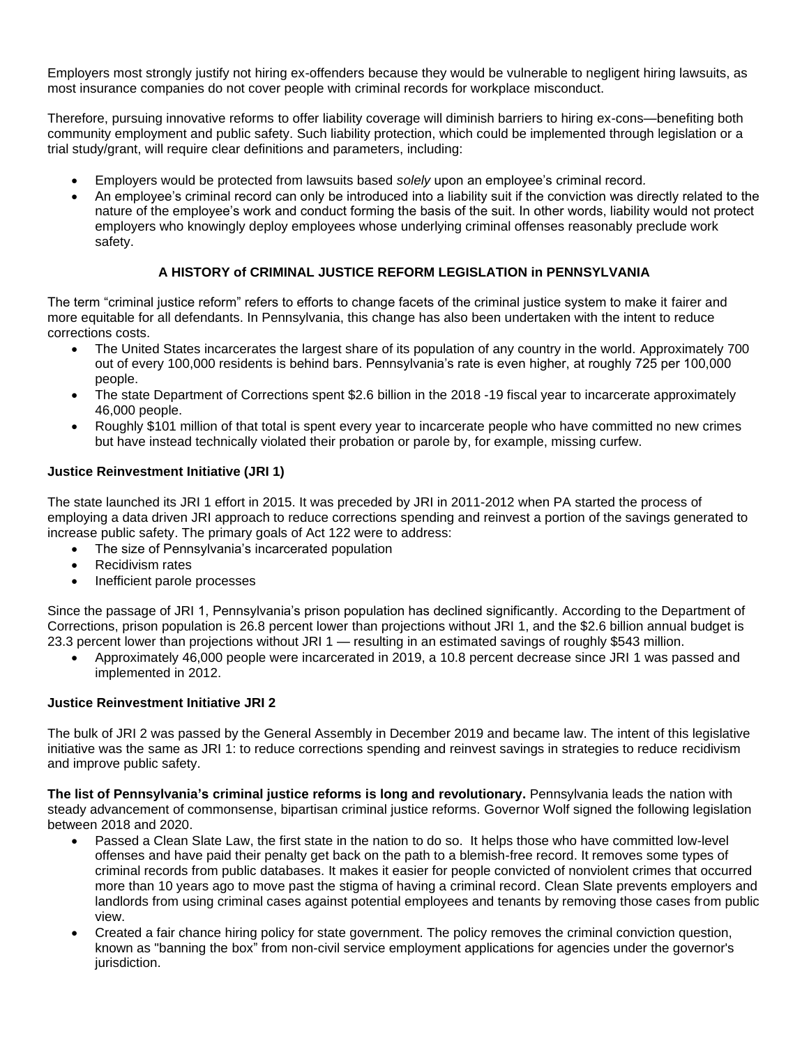Employers most strongly justify not hiring ex-offenders because they would be vulnerable to negligent hiring lawsuits, as most insurance companies do not cover people with criminal records for workplace misconduct.

Therefore, pursuing innovative reforms to offer liability coverage will diminish barriers to hiring ex-cons—benefiting both community employment and public safety. Such liability protection, which could be implemented through legislation or a trial study/grant, will require clear definitions and parameters, including:

- Employers would be protected from lawsuits based *solely* upon an employee's criminal record*.*
- An employee's criminal record can only be introduced into a liability suit if the conviction was directly related to the nature of the employee's work and conduct forming the basis of the suit. In other words, liability would not protect employers who knowingly deploy employees whose underlying criminal offenses reasonably preclude work safety.

# **A HISTORY of CRIMINAL JUSTICE REFORM LEGISLATION in PENNSYLVANIA**

The term "criminal justice reform" refers to efforts to change facets of the criminal justice system to make it fairer and more equitable for all defendants. In Pennsylvania, this change has also been undertaken with the intent to reduce corrections costs.

- The United States incarcerates the largest share of its population of any country in the world. Approximately 700 out of every 100,000 residents is behind bars. Pennsylvania's rate is even higher, at roughly 725 per 100,000 people.
- The state Department of Corrections spent \$2.6 billion in the 2018 -19 fiscal year to incarcerate approximately 46,000 people.
- Roughly \$101 million of that total is spent every year to incarcerate people who have committed no new crimes but have instead technically violated their probation or parole by, for example, missing curfew.

### **Justice Reinvestment Initiative (JRI 1)**

The state launched its JRI 1 effort in 2015. It was preceded by JRI in 2011-2012 when PA started the process of employing a data driven JRI approach to reduce corrections spending and reinvest a portion of the savings generated to increase public safety. The primary goals of Act 122 were to address:

- The size of Pennsylvania's incarcerated population
- Recidivism rates
- Inefficient parole processes

Since the passage of JRI 1, Pennsylvania's prison population has declined significantly. According to the Department of Corrections, prison population is 26.8 percent lower than projections without JRI 1, and the \$2.6 billion annual budget is 23.3 percent lower than projections without JRI 1 — resulting in an estimated savings of roughly \$543 million.

• Approximately 46,000 people were incarcerated in 2019, a 10.8 percent decrease since JRI 1 was passed and implemented in 2012.

### **Justice Reinvestment Initiative JRI 2**

The bulk of JRI 2 was passed by the General Assembly in December 2019 and became law. The intent of this legislative initiative was the same as JRI 1: to reduce corrections spending and reinvest savings in strategies to reduce recidivism and improve public safety.

**The list of Pennsylvania's criminal justice reforms is long and revolutionary.** Pennsylvania leads the nation with steady advancement of commonsense, bipartisan criminal justice reforms. Governor Wolf signed the following legislation between 2018 and 2020.

- Passed a Clean Slate Law, the first state in the nation to do so. It helps those who have committed low-level offenses and have paid their penalty get back on the path to a blemish-free record. It removes some types of criminal records from public databases. It makes it easier for people convicted of nonviolent crimes that occurred more than 10 years ago to move past the stigma of having a criminal record. Clean Slate prevents employers and landlords from using criminal cases against potential employees and tenants by removing those cases from public view.
- Created a fair chance hiring policy for state government. The policy removes the criminal conviction question, known as "banning the box" from non-civil service employment applications for agencies under the governor's jurisdiction.